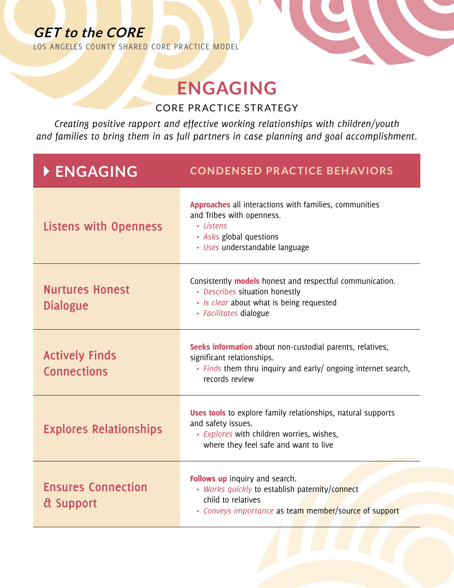LOS ANGELES COUNTY SHARED CORE PRACTICE MODEL

### **ENGAGING**

CORE PRACTICE STRATEGY

*Creating positive rapport and effective working relationships with children/youth and families to bring them in as full partners in case planning and goal accomplishment.*

| ENGAGING                                      | <b>CONDENSED PRACTICE BEHAVIORS</b>                                                                                                                                             |
|-----------------------------------------------|---------------------------------------------------------------------------------------------------------------------------------------------------------------------------------|
| <b>Listens with Openness</b>                  | <b>Approaches</b> all interactions with families, communities<br>and Tribes with openness.<br>· Listens<br>• Asks global questions<br>· Uses understandable language            |
| <b>Nurtures Honest</b><br><b>Dialogue</b>     | Consistently <b>models</b> honest and respectful communication.<br>• Describes situation honestly<br>· Is clear about what is being requested<br>• Facilitates dialogue         |
| <b>Actively Finds</b><br><b>Connections</b>   | Seeks information about non-custodial parents, relatives,<br>significant relationships.<br>• Finds them thru inquiry and early/ ongoing internet search,<br>records review      |
| <b>Explores Relationships</b>                 | <b>Uses tools</b> to explore family relationships, natural supports<br>and safety issues.<br>· Explores with children worries, wishes,<br>where they feel safe and want to live |
| <b>Ensures Connection</b><br><b>d</b> Support | <b>Follows up</b> inquiry and search.<br>• Works quickly to establish paternity/connect<br>child to relatives<br>• Conveys importance as team member/source of support          |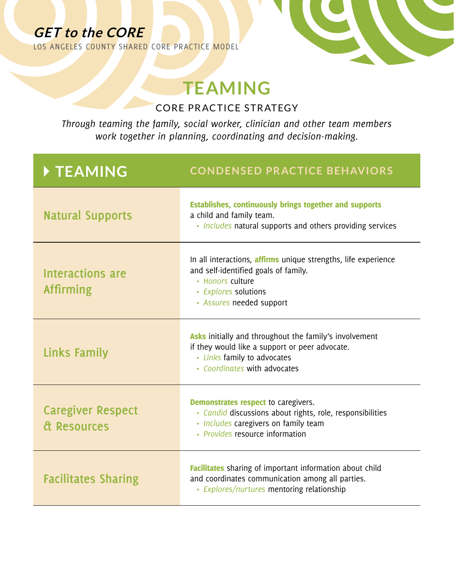LOS ANGELES COUNTY SHARED CORE PRACTICE MODEL

### **TEAMING**

CORE PRACTICE STRATEGY

*Through teaming the family, social worker, clinician and other team members work together in planning, coordinating and decision-making.* 

| TEAMING                                               | <b>CONDENSED PRACTICE BEHAVIORS</b>                                                                                                                                                |
|-------------------------------------------------------|------------------------------------------------------------------------------------------------------------------------------------------------------------------------------------|
| <b>Natural Supports</b>                               | <b>Establishes, continuously brings together and supports</b><br>a child and family team.<br>• Includes natural supports and others providing services                             |
| <b>Interactions are</b><br><b>Affirming</b>           | In all interactions, affirms unique strengths, life experience<br>and self-identified goals of family.<br>• Honors culture<br>• Explores solutions<br>• Assures needed support     |
| Links Family                                          | <b>Asks</b> initially and throughout the family's involvement<br>if they would like a support or peer advocate.<br>• Links family to advocates<br>• Coordinates with advocates     |
| <b>Caregiver Respect</b><br><b><i>d</i></b> Resources | <b>Demonstrates respect</b> to caregivers.<br>· Candid discussions about rights, role, responsibilities<br>· Includes caregivers on family team<br>· Provides resource information |
| <b>Facilitates Sharing</b>                            | Facilitates sharing of important information about child<br>and coordinates communication among all parties.<br>• Explores/nurtures mentoring relationship                         |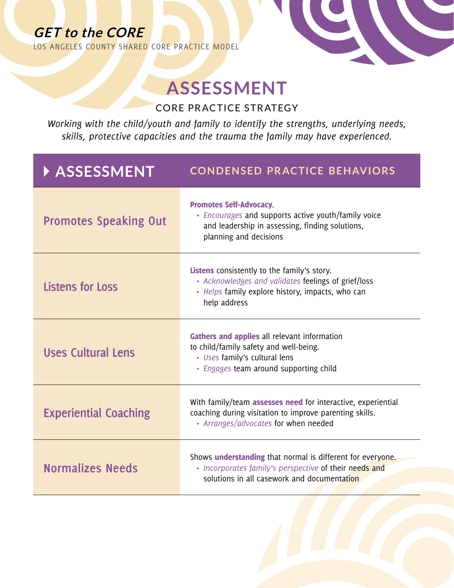LOS ANGELES COUNTY SHARED CORE PRACTICE MODEL

### **ASSESSMENT**

CORE PRACTICE STRATEGY

*Working with the child/youth and family to identify the strengths, underlying needs, skills, protective capacities and the trauma the family may have experienced.*

| ASSESSMENT                   | <b>CONDENSED PRACTICE BEHAVIORS</b>                                                                                                                                           |
|------------------------------|-------------------------------------------------------------------------------------------------------------------------------------------------------------------------------|
| <b>Promotes Speaking Out</b> | <b>Promotes Self-Advocacy.</b><br>• Encourages and supports active youth/family voice<br>and leadership in assessing, finding solutions,<br>planning and decisions            |
| <b>Listens for Loss</b>      | <b>Listens</b> consistently to the family's story.<br>• Acknowledges and validates feelings of grief/loss<br>• Helps family explore history, impacts, who can<br>help address |
| <b>Uses Cultural Lens</b>    | Gathers and applies all relevant information<br>to child/family safety and well-being.<br>• Uses family's cultural lens<br>· Engages team around supporting child             |
| <b>Experiential Coaching</b> | With family/team assesses need for interactive, experiential<br>coaching during visitation to improve parenting skills.<br>• Arranges/advocates for when needed               |
| <b>Normalizes Needs</b>      | Shows understanding that normal is different for everyone.<br>· Incorporates family's perspective of their needs and<br>solutions in all casework and documentation           |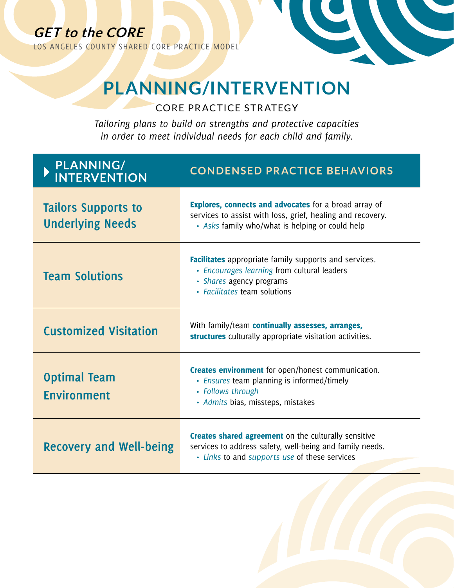LOS ANGELES COUNTY SHARED CORE PRACTICE MODEL

## **PLANNING/INTERVENTION**

CORE PRACTICE STRATEGY

*Tailoring plans to build on strengths and protective capacities in order to meet individual needs for each child and family.*

| <b>PLANNING/<br/>INTERVENTION</b>                     | <b>CONDENSED PRACTICE BEHAVIORS</b>                                                                                                                                           |
|-------------------------------------------------------|-------------------------------------------------------------------------------------------------------------------------------------------------------------------------------|
| <b>Tailors Supports to</b><br><b>Underlying Needs</b> | <b>Explores, connects and advocates for a broad array of</b><br>services to assist with loss, grief, healing and recovery.<br>• Asks family who/what is helping or could help |
| <b>Team Solutions</b>                                 | <b>Facilitates</b> appropriate family supports and services.<br>• Encourages learning from cultural leaders<br>• Shares agency programs<br>• Facilitates team solutions       |
| <b>Customized Visitation</b>                          | With family/team continually assesses, arranges,<br>structures culturally appropriate visitation activities.                                                                  |
| <b>Optimal Team</b><br><b>Environment</b>             | <b>Creates environment</b> for open/honest communication.<br>· Ensures team planning is informed/timely<br>• Follows through<br>· Admits bias, missteps, mistakes             |
| <b>Recovery and Well-being</b>                        | <b>Creates shared agreement</b> on the culturally sensitive<br>services to address safety, well-being and family needs.<br>• Links to and supports use of these services      |